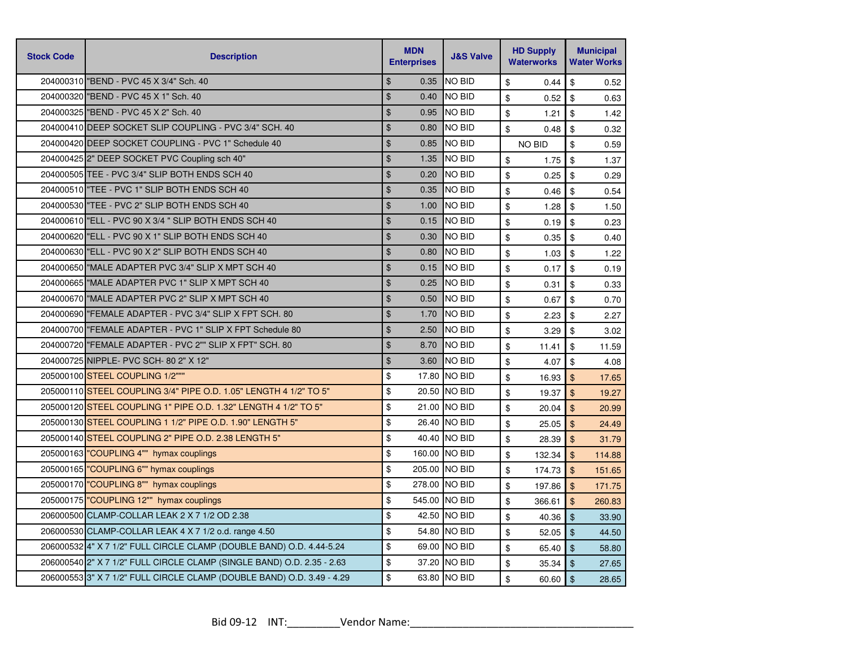| <b>Stock Code</b> | <b>Description</b>                                                     | <b>MDN</b><br><b>Enterprises</b> | <b>J&amp;S Valve</b> | <b>HD Supply</b><br><b>Waterworks</b> | <b>Municipal</b><br><b>Water Works</b> |
|-------------------|------------------------------------------------------------------------|----------------------------------|----------------------|---------------------------------------|----------------------------------------|
|                   | 204000310 "BEND - PVC 45 X 3/4" Sch. 40                                | $\mathfrak{S}$<br>0.35           | <b>NO BID</b>        | \$<br>0.44                            | \$<br>0.52                             |
|                   | 204000320 BEND - PVC 45 X 1" Sch. 40                                   | $\frac{1}{2}$<br>0.40            | <b>NO BID</b>        | \$<br>0.52                            | \$<br>0.63                             |
|                   | 204000325 BEND - PVC 45 X 2" Sch. 40                                   | $\mathfrak{L}$<br>0.95           | <b>NO BID</b>        | \$<br>1.21                            | \$<br>1.42                             |
|                   | 204000410 DEEP SOCKET SLIP COUPLING - PVC 3/4" SCH. 40                 | $\mathfrak{S}$<br>0.80           | <b>NO BID</b>        | \$<br>0.48                            | \$<br>0.32                             |
|                   | 204000420 DEEP SOCKET COUPLING - PVC 1" Schedule 40                    | $\mathfrak{S}$<br>0.85           | <b>NO BID</b>        | <b>NO BID</b>                         | \$<br>0.59                             |
|                   | 204000425 2" DEEP SOCKET PVC Coupling sch 40"                          | $\mathfrak{S}$<br>1.35           | <b>NO BID</b>        | \$<br>1.75                            | \$<br>1.37                             |
|                   | 204000505 TEE - PVC 3/4" SLIP BOTH ENDS SCH 40                         | $\mathfrak{S}$<br>0.20           | <b>NO BID</b>        | \$<br>0.25                            | \$<br>0.29                             |
|                   | 204000510 TEE - PVC 1" SLIP BOTH ENDS SCH 40                           | $\mathfrak{S}$<br>0.35           | <b>NO BID</b>        | \$<br>0.46                            | \$<br>0.54                             |
|                   | 204000530 TEE - PVC 2" SLIP BOTH ENDS SCH 40                           | $\mathfrak{S}$<br>1.00           | <b>NO BID</b>        | \$<br>1.28                            | \$<br>1.50                             |
|                   | 204000610 ELL - PVC 90 X 3/4 " SLIP BOTH ENDS SCH 40                   | $\mathfrak{S}$<br>0.15           | <b>NO BID</b>        | \$<br>0.19                            | \$<br>0.23                             |
|                   | 204000620 "ELL - PVC 90 X 1" SLIP BOTH ENDS SCH 40                     | $\frac{1}{2}$<br>0.30            | <b>NO BID</b>        | \$<br>0.35                            | \$<br>0.40                             |
|                   | 204000630 "ELL - PVC 90 X 2" SLIP BOTH ENDS SCH 40                     | \$<br>0.80                       | <b>NO BID</b>        | \$<br>1.03                            | \$<br>1.22                             |
|                   | 204000650 MALE ADAPTER PVC 3/4" SLIP X MPT SCH 40                      | $\mathfrak{S}$<br>0.15           | <b>NO BID</b>        | \$<br>0.17                            | \$<br>0.19                             |
|                   | 204000665 MALE ADAPTER PVC 1" SLIP X MPT SCH 40                        | $\mathfrak{S}$<br>0.25           | <b>NO BID</b>        | \$<br>0.31                            | \$<br>0.33                             |
|                   | 204000670 MALE ADAPTER PVC 2" SLIP X MPT SCH 40                        | $\frac{1}{2}$<br>0.50            | NO BID               | \$<br>0.67                            | \$<br>0.70                             |
|                   | 204000690 FEMALE ADAPTER - PVC 3/4" SLIP X FPT SCH. 80                 | $\mathfrak{S}$<br>1.70           | <b>NO BID</b>        | \$<br>2.23                            | \$<br>2.27                             |
|                   | 204000700 FEMALE ADAPTER - PVC 1" SLIP X FPT Schedule 80               | $\mathfrak{L}$<br>2.50           | <b>NO BID</b>        | \$<br>3.29                            | \$<br>3.02                             |
|                   | 204000720 "FEMALE ADAPTER - PVC 2"" SLIP X FPT" SCH. 80                | $\mathfrak{S}$<br>8.70           | <b>NO BID</b>        | \$<br>11.41                           | \$<br>11.59                            |
|                   | 204000725 NIPPLE- PVC SCH- 80 2" X 12"                                 | $\frac{1}{2}$<br>3.60            | NO BID               | \$<br>4.07                            | \$<br>4.08                             |
|                   | 205000100 STEEL COUPLING 1/2"""                                        | \$                               | 17.80 NO BID         | \$<br>16.93                           | $\mathfrak{S}$<br>17.65                |
|                   | 205000110 STEEL COUPLING 3/4" PIPE O.D. 1.05" LENGTH 4 1/2" TO 5"      | \$                               | 20.50 NO BID         | \$<br>19.37                           | $\mathfrak{S}$<br>19.27                |
|                   | 205000120 STEEL COUPLING 1" PIPE O.D. 1.32" LENGTH 4 1/2" TO 5"        | \$                               | 21.00 NO BID         | \$<br>20.04                           | \$<br>20.99                            |
|                   | 205000130 STEEL COUPLING 1 1/2" PIPE O.D. 1.90" LENGTH 5"              | \$                               | 26.40 NO BID         | \$<br>25.05                           | $\mathbf{\$}$<br>24.49                 |
|                   | 205000140 STEEL COUPLING 2" PIPE O.D. 2.38 LENGTH 5"                   | \$                               | 40.40 NO BID         | \$<br>28.39                           | $\mathfrak{S}$<br>31.79                |
|                   | 205000163 "COUPLING 4"" hymax couplings                                | \$                               | 160.00 NO BID        | \$<br>132.34                          | $\mathfrak{S}$<br>114.88               |
|                   | 205000165 "COUPLING 6"" hymax couplings                                | \$                               | 205.00 NO BID        | \$<br>174.73                          | \$<br>151.65                           |
|                   | 205000170 "COUPLING 8"" hymax couplings                                | \$                               | 278.00 INO BID       | \$<br>197.86                          | $\mathbf{\$}$<br>171.75                |
|                   | 205000175 "COUPLING 12"" hymax couplings                               | \$                               | 545.00 NO BID        | \$<br>366.61                          | $\mathfrak{L}$<br>260.83               |
|                   | 206000500 CLAMP-COLLAR LEAK 2 X 7 1/2 OD 2.38                          | \$                               | 42.50 NO BID         | \$<br>40.36                           | $\mathfrak{F}$<br>33.90                |
|                   | 206000530 CLAMP-COLLAR LEAK 4 X 7 1/2 o.d. range 4.50                  | \$                               | 54.80 NO BID         | \$<br>52.05                           | \$<br>44.50                            |
|                   | 206000532 4" X 7 1/2" FULL CIRCLE CLAMP (DOUBLE BAND) O.D. 4.44-5.24   | \$                               | 69.00 NO BID         | \$<br>65.40                           | \$<br>58.80                            |
|                   | 206000540 2" X 7 1/2" FULL CIRCLE CLAMP (SINGLE BAND) O.D. 2.35 - 2.63 | \$                               | 37.20 NO BID         | \$<br>35.34                           | \$<br>27.65                            |
|                   | 206000553 3" X 7 1/2" FULL CIRCLE CLAMP (DOUBLE BAND) O.D. 3.49 - 4.29 | \$                               | 63.80 NO BID         | \$<br>60.60                           | \$<br>28.65                            |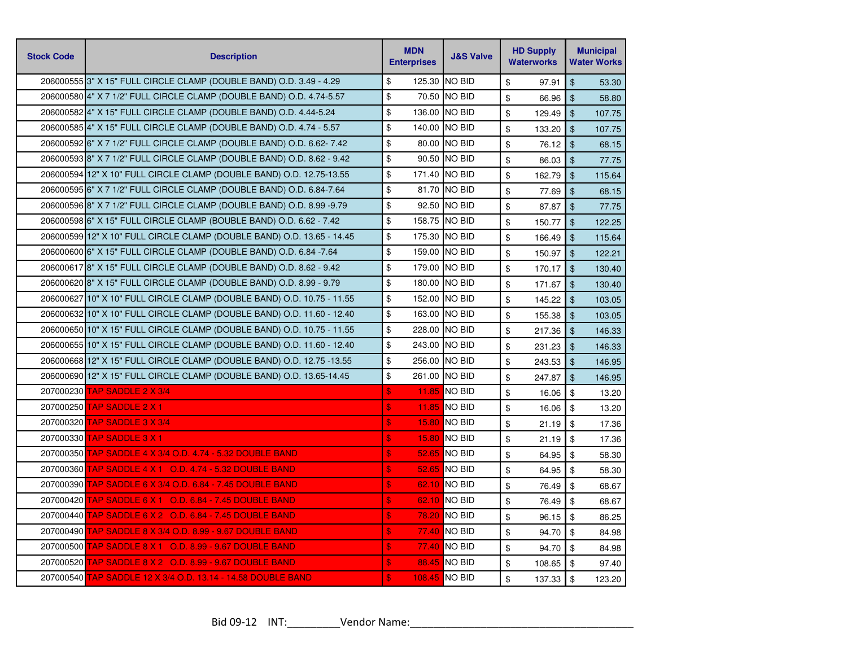| <b>Stock Code</b> | <b>Description</b>                                                     | <b>MDN</b><br><b>Enterprises</b>   | <b>J&amp;S Valve</b> | <b>HD Supply</b><br><b>Waterworks</b> | <b>Municipal</b><br><b>Water Works</b> |
|-------------------|------------------------------------------------------------------------|------------------------------------|----------------------|---------------------------------------|----------------------------------------|
|                   | 206000555 3" X 15" FULL CIRCLE CLAMP (DOUBLE BAND) O.D. 3.49 - 4.29    | \$<br>125.30                       | <b>NO BID</b>        | \$<br>97.91                           | $\sqrt[6]{\frac{1}{2}}$<br>53.30       |
|                   | 206000580 4" X 7 1/2" FULL CIRCLE CLAMP (DOUBLE BAND) O.D. 4.74-5.57   | \$<br>70.50                        | <b>NO BID</b>        | \$<br>66.96                           | $\mathfrak{L}$<br>58.80                |
|                   | 20600058214" X 15" FULL CIRCLE CLAMP (DOUBLE BAND) O.D. 4.44-5.24      | \$<br>136.00                       | <b>NO BID</b>        | \$<br>129.49                          | $\mathfrak{F}$<br>107.75               |
|                   | 206000585 4" X 15" FULL CIRCLE CLAMP (DOUBLE BAND) O.D. 4.74 - 5.57    | \$<br>140.00                       | NO BID               | \$<br>133.20                          | $\mathfrak{S}$<br>107.75               |
|                   | 206000592 6" X 7 1/2" FULL CIRCLE CLAMP (DOUBLE BAND) O.D. 6.62- 7.42  | \$<br>80.00                        | <b>NO BID</b>        | \$<br>76.12                           | $\mathfrak{S}$<br>68.15                |
|                   | 206000593 8" X 7 1/2" FULL CIRCLE CLAMP (DOUBLE BAND) O.D. 8.62 - 9.42 | \$<br>90.50                        | <b>NO BID</b>        | \$<br>86.03                           | $\mathfrak{L}$<br>77.75                |
|                   | 206000594 12" X 10" FULL CIRCLE CLAMP (DOUBLE BAND) O.D. 12.75-13.55   | \$<br>171.40                       | <b>NO BID</b>        | \$<br>162.79                          | $\mathfrak{L}$<br>115.64               |
|                   | 206000595 6" X 7 1/2" FULL CIRCLE CLAMP (DOUBLE BAND) O.D. 6.84-7.64   | \$<br>81.70                        | <b>NO BID</b>        | \$<br>77.69                           | $\mathbf{\$}$<br>68.15                 |
|                   | 206000596 8" X 7 1/2" FULL CIRCLE CLAMP (DOUBLE BAND) O.D. 8.99 -9.79  | \$                                 | 92.50 NO BID         | \$<br>87.87                           | $\sqrt[6]{\frac{1}{2}}$<br>77.75       |
|                   | 206000598 6" X 15" FULL CIRCLE CLAMP (BOUBLE BAND) O.D. 6.62 - 7.42    | \$<br>158.75                       | <b>NO BID</b>        | \$<br>150.77                          | $\mathbf{\$}$<br>122.25                |
|                   | 206000599 12" X 10" FULL CIRCLE CLAMP (DOUBLE BAND) O.D. 13.65 - 14.45 | \$<br>175.30                       | <b>NO BID</b>        | \$<br>166.49                          | $\mathfrak{F}$<br>115.64               |
|                   | 206000600 6" X 15" FULL CIRCLE CLAMP (DOUBLE BAND) O.D. 6.84 - 7.64    | \$<br>159.00                       | <b>NO BID</b>        | \$<br>150.97                          | $\mathfrak{F}$<br>122.21               |
|                   | 206000617 8" X 15" FULL CIRCLE CLAMP (DOUBLE BAND) O.D. 8.62 - 9.42    | \$<br>179.00                       | NO BID               | \$<br>170.17                          | $\mathfrak{S}$<br>130.40               |
|                   | 206000620 8" X 15" FULL CIRCLE CLAMP (DOUBLE BAND) O.D. 8.99 - 9.79    | \$<br>180.00                       | <b>NO BID</b>        | \$<br>171.67                          | $\mathfrak{S}$<br>130.40               |
|                   | 206000627 10" X 10" FULL CIRCLE CLAMP (DOUBLE BAND) O.D. 10.75 - 11.55 | \$<br>152.00                       | <b>NO BID</b>        | \$<br>145.22                          | $\mathfrak{L}$<br>103.05               |
|                   | 206000632 10" X 10" FULL CIRCLE CLAMP (DOUBLE BAND) O.D. 11.60 - 12.40 | \$<br>163.00                       | <b>NO BID</b>        | \$<br>155.38                          | $\mathfrak{L}$<br>103.05               |
|                   | 206000650 10" X 15" FULL CIRCLE CLAMP (DOUBLE BAND) O.D. 10.75 - 11.55 | \$<br>228.00                       | <b>NO BID</b>        | \$<br>217.36                          | $\mathcal{S}$<br>146.33                |
|                   | 206000655 10" X 15" FULL CIRCLE CLAMP (DOUBLE BAND) O.D. 11.60 - 12.40 | \$<br>243.00                       | <b>NO BID</b>        | \$<br>231.23                          | $\mathfrak{S}$<br>146.33               |
|                   | 206000668 12" X 15" FULL CIRCLE CLAMP (DOUBLE BAND) O.D. 12.75 - 13.55 | \$<br>256.00                       | <b>NO BID</b>        | \$<br>243.53                          | $\mathbf{\$}$<br>146.95                |
|                   | 206000690 12" X 15" FULL CIRCLE CLAMP (DOUBLE BAND) O.D. 13.65-14.45   | \$<br>261.00                       | <b>NO BID</b>        | \$<br>247.87                          | $\mathfrak{L}$<br>146.95               |
|                   | 207000230 TAP SADDLE 2 X 3/4                                           | $\boldsymbol{\mathsf{s}}$<br>11.85 | <b>NO BID</b>        | \$<br>16.06                           | \$<br>13.20                            |
|                   | 207000250 TAP SADDLE 2 X 1                                             | $\mathbf{s}$<br>11.85              | NO BID               | \$<br>16.06                           | \$<br>13.20                            |
|                   | 207000320 TAP SADDLE 3 X 3/4                                           | \$<br>15.80                        | <b>NO BID</b>        | \$<br>21.19                           | \$<br>17.36                            |
|                   | 207000330 TAP SADDLE 3 X 1                                             | \$<br>15.80                        | <b>NO BID</b>        | \$<br>21.19                           | \$<br>17.36                            |
|                   | 207000350 TAP SADDLE 4 X 3/4 O.D. 4.74 - 5.32 DOUBLE BAND              | $\boldsymbol{\mathsf{s}}$<br>52.65 | <b>NO BID</b>        | \$<br>64.95                           | \$<br>58.30                            |
|                   | 207000360 TAP SADDLE 4 X 1 O.D. 4.74 - 5.32 DOUBLE BAND                | $\mathbf{s}$<br>52.65              | <b>NO BID</b>        | \$<br>64.95                           | \$<br>58.30                            |
|                   | 207000390 TAP SADDLE 6 X 3/4 O.D. 6.84 - 7.45 DOUBLE BAND              | $\mathbf{s}$<br>62.10              | <b>NO BID</b>        | \$<br>76.49                           | \$<br>68.67                            |
|                   |                                                                        | $\boldsymbol{\mathsf{s}}$<br>62.10 | <b>NO BID</b>        | \$<br>76.49                           | \$<br>68.67                            |
|                   | 207000440 TAP SADDLE 6 X 2 O.D. 6.84 - 7.45 DOUBLE BAND                | \$<br>78.20                        | NO BID               | \$<br>96.15                           | \$<br>86.25                            |
|                   | 207000490 <mark>TAP SADDLE 8 X 3/4 O.D. 8.99 - 9.67 DOUBLE BAND</mark> | $\boldsymbol{\mathsf{s}}$<br>77.40 | <b>NO BID</b>        | \$<br>94.70                           | \$<br>84.98                            |
|                   | 207000500 TAP SADDLE 8 X 1 O.D. 8.99 - 9.67 DOUBLE BAND                | $\boldsymbol{\mathsf{s}}$<br>77.40 | NO BID               | \$<br>94.70                           | \$<br>84.98                            |
|                   | <u>207000520 TAP SADDLE 8 X 2   O.D. 8.99 - 9.67 DOUBLE BAND</u>       | \$<br>88.45                        | <b>NO BID</b>        | \$<br>108.65                          | \$<br>97.40                            |
|                   | 207000540 TAP SADDLE 12 X 3/4 O.D. 13.14 - 14.58 DOUBLE BAND           | $\mathbf{s}$                       | 108.45 NO BID        | \$<br>137.33                          | \$<br>123.20                           |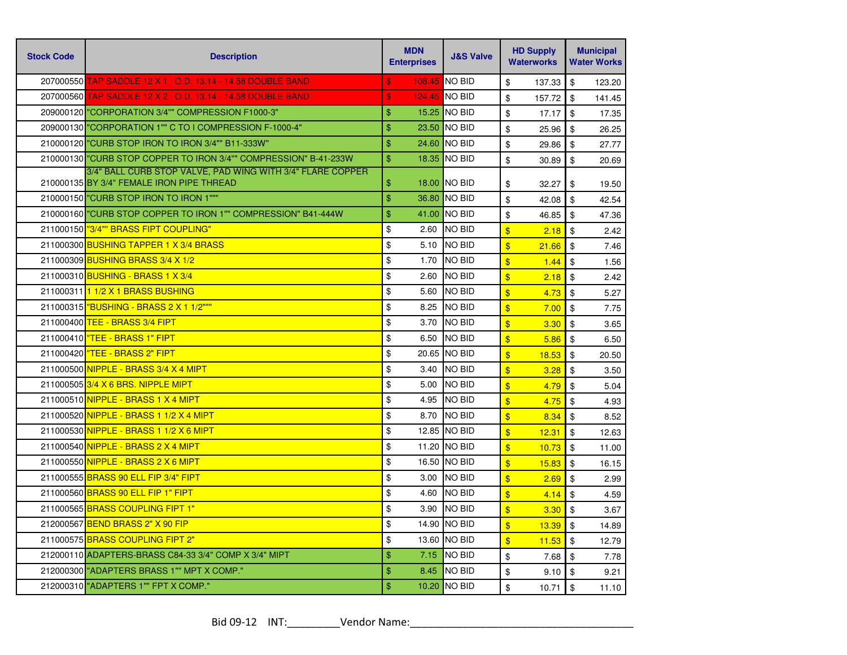| <b>Stock Code</b> | <b>Description</b>                                                                                      | <b>MDN</b><br><b>Enterprises</b> | <b>J&amp;S Valve</b> | <b>HD Supply</b><br><b>Waterworks</b> | <b>Municipal</b><br><b>Water Works</b> |
|-------------------|---------------------------------------------------------------------------------------------------------|----------------------------------|----------------------|---------------------------------------|----------------------------------------|
|                   | 207000550 TAP SADDLE 12 X 1 O.D. 13.14 - 14.58 DOUBLE BAND                                              | $\mathbf{s}$                     | 108.45 NO BID        | \$<br>137.33                          | \$<br>123.20                           |
|                   |                                                                                                         | $\boldsymbol{\mathsf{s}}$        | 124.45 NO BID        | \$<br>157.72                          | \$<br>141.45                           |
|                   | 209000120 "CORPORATION 3/4"" COMPRESSION F1000-3"                                                       | \$                               | 15.25 INO BID        | \$<br>17.17                           | \$<br>17.35                            |
|                   | 209000130 "CORPORATION 1"" C TO I COMPRESSION F-1000-4"                                                 | $\mathbf{\$}$                    | 23.50 NO BID         | \$<br>25.96                           | \$<br>26.25                            |
|                   | 210000120 "CURB STOP IRON TO IRON 3/4"" B11-333W"                                                       | $\frac{1}{2}$                    | 24.60 NO BID         | \$<br>29.86                           | \$<br>27.77                            |
|                   | 210000130 CURB STOP COPPER TO IRON 3/4"" COMPRESSION" B-41-233W                                         | $\frac{1}{2}$                    | 18.35 NO BID         | \$<br>30.89                           | \$<br>20.69                            |
|                   | 3/4" BALL CURB STOP VALVE, PAD WING WITH 3/4" FLARE COPPER<br>210000135 BY 3/4" FEMALE IRON PIPE THREAD | \$                               | <b>18.00 INO BID</b> | \$<br>32.27                           | \$<br>19.50                            |
|                   | 210000150 "CURB STOP IRON TO IRON 1"""                                                                  | $\frac{1}{2}$                    | 36.80 NO BID         | \$<br>42.08                           | $\mathfrak{S}$<br>42.54                |
|                   | 210000160 "CURB STOP COPPER TO IRON 1"" COMPRESSION" B41-444W                                           | $\frac{1}{2}$                    | 41.00 NO BID         | \$<br>46.85                           | \$<br>47.36                            |
|                   | 211000150 73/4"" BRASS FIPT COUPLING"                                                                   | \$<br>2.60                       | <b>NO BID</b>        | $\overline{\mathbf{S}}$<br>2.18       | \$<br>2.42                             |
|                   | 211000300 BUSHING TAPPER 1 X 3/4 BRASS                                                                  | \$<br>5.10                       | <b>NO BID</b>        | $\sqrt[6]{3}$<br>21.66                | \$<br>7.46                             |
|                   | 211000309 BUSHING BRASS 3/4 X 1/2                                                                       | \$<br>1.70                       | <b>NO BID</b>        | $\sqrt[6]{3}$<br>1.44                 | $\sqrt[6]{\frac{1}{2}}$<br>1.56        |
|                   | 211000310 BUSHING - BRASS 1 X 3/4                                                                       | \$<br>2.60                       | <b>NO BID</b>        | $\overline{\mathbf{S}}$<br>2.18       | \$<br>2.42                             |
|                   | 211000311 1/2 X 1 BRASS BUSHING                                                                         | \$<br>5.60                       | <b>NO BID</b>        | $\sqrt[6]{3}$<br>4.73                 | \$<br>5.27                             |
|                   | 211000315   "BUSHING - BRASS 2 X 1 1/2"""                                                               | \$<br>8.25                       | <b>NO BID</b>        | $\sqrt[6]{3}$<br>7.00                 | \$<br>7.75                             |
|                   | 211000400 TEE - BRASS 3/4 FIPT                                                                          | \$<br>3.70                       | <b>NO BID</b>        | $\sqrt[6]{3}$<br>3.30                 | \$<br>3.65                             |
|                   | 211000410 TEE - BRASS 1" FIPT                                                                           | \$<br>6.50                       | <b>NO BID</b>        | $\frac{1}{2}$<br>5.86                 | \$<br>6.50                             |
|                   | 211000420 TEE - BRASS 2" FIPT                                                                           | \$                               | 20.65 NO BID         | $\sqrt[6]{3}$<br>18.53                | \$<br>20.50                            |
|                   | 211000500 NIPPLE - BRASS 3/4 X 4 MIPT                                                                   | \$<br>3.40                       | <b>NO BID</b>        | $\sqrt{3}$<br>3.28                    | \$<br>3.50                             |
|                   | 211000505 3/4 X 6 BRS. NIPPLE MIPT                                                                      | \$<br>5.00                       | <b>NO BID</b>        | $\sqrt[6]{3}$<br>4.79                 | \$<br>5.04                             |
|                   | 211000510 NIPPLE - BRASS 1 X 4 MIPT                                                                     | \$<br>4.95                       | <b>NO BID</b>        | $\mathbf{\hat{s}}$<br>4.75            | \$<br>4.93                             |
|                   | 211000520 NIPPLE - BRASS 1 1/2 X 4 MIPT                                                                 | \$<br>8.70                       | <b>NO BID</b>        | $\sqrt[6]{3}$<br>8.34                 | \$<br>8.52                             |
|                   | 211000530 NIPPLE - BRASS 1 1/2 X 6 MIPT                                                                 | \$<br>12.85                      | <b>NO BID</b>        | $\sqrt{3}$<br>12.31                   | \$<br>12.63                            |
|                   | 211000540 NIPPLE - BRASS 2 X 4 MIPT                                                                     | \$                               | 11.20 NO BID         | $\sqrt[6]{3}$<br>10.73                | $\$\$<br>11.00                         |
|                   | 211000550 NIPPLE - BRASS 2 X 6 MIPT                                                                     | \$                               | 16.50 NO BID         | $\sqrt{3}$<br>15.83                   | $\sqrt[6]{\frac{1}{2}}$<br>16.15       |
|                   | 211000555 BRASS 90 ELL FIP 3/4" FIPT                                                                    | \$<br>3.00                       | <b>NO BID</b>        | $\sqrt[6]{3}$<br>2.69                 | \$<br>2.99                             |
|                   | 211000560 BRASS 90 ELL FIP 1" FIPT                                                                      | \$<br>4.60                       | <b>NO BID</b>        | $\mathbf{\hat{s}}$<br>4.14            | \$<br>4.59                             |
|                   | 211000565 BRASS COUPLING FIPT 1"                                                                        | \$<br>3.90                       | <b>NO BID</b>        | $\sqrt[6]{3}$<br>3.30                 | \$<br>3.67                             |
|                   | 212000567 BEND BRASS 2" X 90 FIP                                                                        | \$                               | 14.90 NO BID         | $\sqrt[6]{3}$<br>13.39                | $\mathfrak{S}$<br>14.89                |
|                   | 211000575 BRASS COUPLING FIPT 2"                                                                        | \$                               | 13.60 NO BID         | $\sqrt[6]{3}$<br>11.53                | \$<br>12.79                            |
|                   | 212000110 ADAPTERS-BRASS C84-33 3/4" COMP X 3/4" MIPT                                                   | \$<br>7.15                       | <b>NO BID</b>        | \$<br>7.68                            | \$<br>7.78                             |
|                   | 212000300   "ADAPTERS BRASS 1"" MPT X COMP."                                                            | \$<br>8.45                       | <b>NO BID</b>        | \$<br>9.10                            | \$<br>9.21                             |
|                   | 212000310 "ADAPTERS 1"" FPT X COMP."                                                                    | \$                               | 10.20 NO BID         | \$<br>10.71                           | \$<br>11.10                            |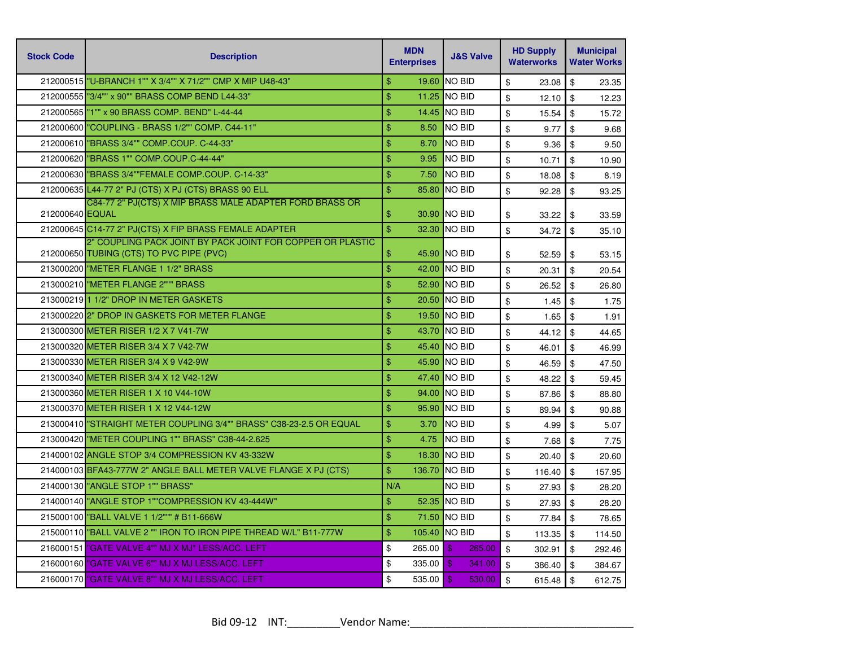| <b>Stock Code</b> | <b>Description</b>                                                                                     | <b>MDN</b><br><b>Enterprises</b> | <b>J&amp;S Valve</b>     | <b>HD Supply</b><br><b>Waterworks</b> | <b>Municipal</b><br><b>Water Works</b> |
|-------------------|--------------------------------------------------------------------------------------------------------|----------------------------------|--------------------------|---------------------------------------|----------------------------------------|
|                   | 212000515   "U-BRANCH 1"" X 3/4"" X 71/2"" CMP X MIP U48-43"                                           | $\mathbf{\$}$<br>19.60           | <b>NO BID</b>            | \$<br>23.08                           | \$<br>23.35                            |
|                   | 212000555 3/4"" x 90"" BRASS COMP BEND L44-33"                                                         | \$<br>11.25                      | <b>NO BID</b>            | \$<br>12.10                           | \$<br>12.23                            |
|                   | 212000565   "1"" x 90 BRASS COMP. BEND" L-44-44                                                        | \$<br>14.45                      | <b>NO BID</b>            | \$<br>15.54                           | \$<br>15.72                            |
|                   | 212000600 "COUPLING - BRASS 1/2"" COMP. C44-11"                                                        | \$<br>8.50                       | <b>NO BID</b>            | \$<br>9.77                            | \$<br>9.68                             |
|                   | 212000610 BRASS 3/4"" COMP.COUP. C-44-33"                                                              | \$<br>8.70                       | <b>NO BID</b>            | \$<br>9.36                            | \$<br>9.50                             |
|                   | 212000620   "BRASS 1"" COMP.COUP.C-44-44"                                                              | \$<br>9.95                       | <b>NO BID</b>            | \$<br>10.71                           | \$<br>10.90                            |
|                   | 212000630 BRASS 3/4""FEMALE COMP.COUP. C-14-33"                                                        | \$<br>7.50                       | <b>NO BID</b>            | \$<br>18.08                           | \$<br>8.19                             |
|                   | 212000635 L44-77 2" PJ (CTS) X PJ (CTS) BRASS 90 ELL                                                   | $\frac{1}{2}$<br>85.80           | <b>NO BID</b>            | \$<br>92.28                           | \$<br>93.25                            |
| 212000640 EQUAL   | C84-77 2" PJ(CTS) X MIP BRASS MALE ADAPTER FORD BRASS OR                                               | \$                               | 30.90 NO BID             | \$<br>33.22                           | \$<br>33.59                            |
|                   | 212000645 C14-77 2" PJ(CTS) X FIP BRASS FEMALE ADAPTER                                                 | $\mathbf{\$}$<br>32.30           | <b>NO BID</b>            | \$<br>34.72                           | \$<br>35.10                            |
|                   | 2" COUPLING PACK JOINT BY PACK JOINT FOR COPPER OR PLASTIC<br>212000650 TUBING (CTS) TO PVC PIPE (PVC) | \$                               | 45.90 NO BID             | \$<br>52.59                           | \$<br>53.15                            |
|                   | 213000200 METER FLANGE 1 1/2" BRASS                                                                    | \$<br>42.00                      | <b>NO BID</b>            | \$<br>20.31                           | \$<br>20.54                            |
|                   | 213000210 "METER FLANGE 2""" BRASS                                                                     | \$<br>52.90                      | <b>NO BID</b>            | \$<br>26.52                           | \$<br>26.80                            |
|                   | 213000219 1 1/2" DROP IN METER GASKETS                                                                 | \$<br>20.50                      | <b>NO BID</b>            | \$<br>1.45                            | \$<br>1.75                             |
|                   | 213000220 2" DROP IN GASKETS FOR METER FLANGE                                                          | \$                               | 19.50 NO BID             | \$<br>1.65                            | \$<br>1.91                             |
|                   | 213000300 METER RISER 1/2 X 7 V41-7W                                                                   | \$<br>43.70                      | <b>NO BID</b>            | \$<br>44.12                           | \$<br>44.65                            |
|                   | 213000320 METER RISER 3/4 X 7 V42-7W                                                                   | \$<br>45.40                      | <b>NO BID</b>            | \$<br>46.01                           | \$<br>46.99                            |
|                   | 213000330 METER RISER 3/4 X 9 V42-9W                                                                   | \$<br>45.90                      | <b>NO BID</b>            | \$<br>46.59                           | \$<br>47.50                            |
|                   | 213000340 METER RISER 3/4 X 12 V42-12W                                                                 | \$<br>47.40                      | <b>NO BID</b>            | \$<br>48.22                           | \$<br>59.45                            |
|                   | 213000360 METER RISER 1 X 10 V44-10W                                                                   | \$<br>94.00                      | <b>NO BID</b>            | \$<br>87.86                           | \$<br>88.80                            |
|                   | 213000370 METER RISER 1 X 12 V44-12W                                                                   | \$<br>95.90                      | <b>NO BID</b>            | \$<br>89.94                           | \$<br>90.88                            |
|                   | 213000410 STRAIGHT METER COUPLING 3/4"" BRASS" C38-23-2.5 OR EQUAL                                     | \$<br>3.70                       | <b>NO BID</b>            | \$<br>4.99                            | \$<br>5.07                             |
|                   | 213000420 WETER COUPLING 1"" BRASS" C38-44-2.625                                                       | \$<br>4.75                       | <b>NO BID</b>            | \$<br>7.68                            | \$<br>7.75                             |
|                   | 214000102 ANGLE STOP 3/4 COMPRESSION KV 43-332W                                                        | \$<br>18.30                      | <b>NO BID</b>            | \$<br>20.40                           | \$<br>20.60                            |
|                   | 214000103 BFA43-777W 2" ANGLE BALL METER VALVE FLANGE X PJ (CTS)                                       | \$<br>136.70                     | <b>NO BID</b>            | \$<br>116.40                          | \$<br>157.95                           |
|                   | 214000130 "ANGLE STOP 1"" BRASS"                                                                       | N/A                              | <b>NO BID</b>            | \$<br>27.93                           | \$<br>28.20                            |
|                   | 214000140 ANGLE STOP 1""COMPRESSION KV 43-444W"                                                        | \$<br>52.35                      | <b>NO BID</b>            | \$<br>27.93                           | \$<br>28.20                            |
|                   | 215000100 BALL VALVE 1 1/2""" # B11-666W                                                               | \$<br>71.50                      | <b>NO BID</b>            | \$<br>77.84                           | \$<br>78.65                            |
|                   | 215000110 BALL VALVE 2 "" IRON TO IRON PIPE THREAD W/L" B11-777W                                       | \$                               | 105.40 <b>NO BID</b>     | \$<br>113.35                          | \$<br>114.50                           |
|                   | 216000151 "GATE VALVE 4"" MJ X MJ" LESS/ACC, LEFT                                                      | \$<br>265.00                     | \$<br>265.00             | \$<br>302.91                          | \$<br>292.46                           |
|                   | 216000160 CATE VALVE 6"" MJ X MJ LESS/ACC. LEFT                                                        | \$<br>335.00                     | $\mathfrak{L}$<br>341.00 | \$<br>386.40                          | \$<br>384.67                           |
|                   | 216000170 "GATE VALVE 8"" MJ X MJ LESS/ACC. LEFT                                                       | \$<br>535.00                     | $\mathbf{\$}$<br>530.00  | $\mathfrak{S}$<br>615.48              | $\sqrt[6]{\frac{1}{2}}$<br>612.75      |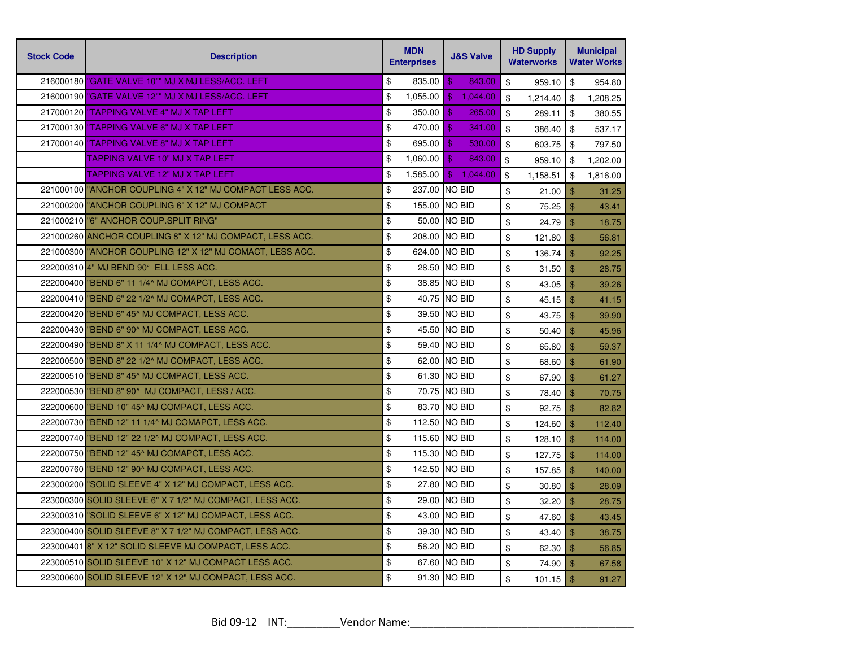| <b>Stock Code</b> | <b>Description</b>                                       | <b>MDN</b><br><b>Enterprises</b> | <b>J&amp;S Valve</b>       | <b>HD Supply</b><br><b>Waterworks</b> | <b>Municipal</b><br><b>Water Works</b> |  |
|-------------------|----------------------------------------------------------|----------------------------------|----------------------------|---------------------------------------|----------------------------------------|--|
|                   | 216000180 CATE VALVE 10"" MJ X MJ LESS/ACC. LEFT         | \$<br>835.00                     | $\mathbf{\$}$<br>843.00    | \$<br>959.10                          | \$<br>954.80                           |  |
|                   | 216000190 <b>"GATE VALVE 12"" MJ X MJ LESS/ACC. LEFT</b> | \$<br>1,055.00                   | $\mathbf{\$}$<br>1.044.00  | \$<br>1,214.40                        | \$<br>1,208.25                         |  |
|                   | 217000120 TAPPING VALVE 4" MJ X TAP LEFT                 | \$<br>350.00                     | $\mathfrak{s}$<br>265.00   | \$<br>289.11                          | \$<br>380.55                           |  |
|                   | 217000130 TAPPING VALVE 6" MJ X TAP LEFT                 | \$<br>470.00                     | $\mathfrak{L}$<br>341.00   | \$<br>386.40                          | \$<br>537.17                           |  |
|                   | 217000140 TAPPING VALVE 8" MJ X TAP LEFT                 | \$<br>695.00                     | $\mathbf{\$}$<br>530.00    | \$<br>603.75                          | \$<br>797.50                           |  |
|                   | <b>TAPPING VALVE 10" MJ X TAP LEFT</b>                   | \$<br>1,060.00                   | $\mathbf{\$}$<br>843.00    | \$<br>959.10                          | \$<br>1,202.00                         |  |
|                   | <b>TAPPING VALVE 12" MJ X TAP LEFT</b>                   | \$<br>1,585.00                   | $\mathfrak{F}$<br>1,044.00 | \$<br>1,158.51                        | \$<br>1,816.00                         |  |
|                   | 221000100 ANCHOR COUPLING 4" X 12" MJ COMPACT LESS ACC.  | \$                               | 237.00 NO BID              | \$<br>21.00                           | \$<br>31.25                            |  |
|                   | 221000200 ANCHOR COUPLING 6" X 12" MJ COMPACT            | \$                               | 155.00 NO BID              | \$<br>75.25                           | $\mathfrak{L}$<br>43.41                |  |
|                   | 221000210 "6" ANCHOR COUP.SPLIT RING"                    | \$                               | 50.00 NO BID               | \$<br>24.79                           | $\mathfrak{F}$<br>18.75                |  |
|                   | 221000260 ANCHOR COUPLING 8" X 12" MJ COMPACT, LESS ACC. | \$                               | 208.00 INO BID             | \$<br>121.80                          | $\mathfrak{S}$<br>56.81                |  |
|                   | 221000300 ANCHOR COUPLING 12" X 12" MJ COMACT, LESS ACC. | \$                               | 624.00 NO BID              | \$<br>136.74                          | $\mathfrak{S}$<br>92.25                |  |
|                   | 222000310 4" MJ BEND 90° ELL LESS ACC.                   | \$                               | 28.50 NO BID               | \$<br>31.50                           | $\mathfrak{S}$<br>28.75                |  |
|                   | 222000400 BEND 6" 11 1/4^ MJ COMAPCT, LESS ACC.          | \$                               | 38.85 NO BID               | \$<br>43.05                           | \$<br>39.26                            |  |
|                   | 222000410 "BEND 6" 22 1/2^ MJ COMAPCT, LESS ACC.         | \$                               | 40.75 NO BID               | \$<br>45.15                           | $\mathfrak{S}$<br>41.15                |  |
|                   | 222000420 BEND 6" 45^ MJ COMPACT, LESS ACC.              | \$                               | 39.50 NO BID               | \$<br>43.75                           | $\mathfrak{L}$<br>39.90                |  |
|                   | 222000430 "BEND 6" 90^ MJ COMPACT, LESS ACC.             | \$                               | 45.50 NO BID               | \$<br>50.40                           | $\mathfrak{S}$<br>45.96                |  |
|                   | 222000490 BEND 8" X 11 1/4^ MJ COMPACT, LESS ACC.        | \$                               | 59.40 NO BID               | \$<br>65.80                           | $\mathfrak{S}$<br>59.37                |  |
|                   | 222000500 BEND 8" 22 1/2^ MJ COMPACT, LESS ACC.          | \$                               | 62.00 NO BID               | \$<br>68.60                           | $\mathbf{\$}$<br>61.90                 |  |
|                   | 222000510 BEND 8" 45^ MJ COMPACT, LESS ACC.              | \$                               | 61.30 NO BID               | \$<br>67.90                           | $\mathfrak{S}$<br>61.27                |  |
|                   | 222000530 "BEND 8" 90^ MJ COMPACT, LESS / ACC.           | \$                               | 70.75 NO BID               | \$<br>78.40                           | $\mathfrak{S}$<br>70.75                |  |
|                   | 222000600 "BEND 10" 45^ MJ COMPACT, LESS ACC.            | \$                               | 83.70 NO BID               | \$<br>92.75                           | $\mathfrak{S}$<br>82.82                |  |
|                   | 222000730 "BEND 12" 11 1/4^ MJ COMAPCT, LESS ACC.        | \$                               | 112.50 NO BID              | \$<br>124.60                          | \$<br>112.40                           |  |
|                   | 222000740 BEND 12" 22 1/2^ MJ COMPACT, LESS ACC.         | \$                               | 115.60 NO BID              | \$<br>128.10                          | $\mathfrak{L}$<br>114.00               |  |
|                   | 222000750 "BEND 12" 45^ MJ COMAPCT, LESS ACC.            | \$                               | 115.30 NO BID              | \$<br>127.75                          | \$<br>114.00                           |  |
|                   | 222000760 BEND 12" 90^ MJ COMPACT, LESS ACC.             | \$                               | 142.50 NO BID              | \$<br>157.85                          | \$<br>140.00                           |  |
|                   | 223000200 SOLID SLEEVE 4" X 12" MJ COMPACT, LESS ACC.    | \$                               | 27.80 NO BID               | \$<br>30.80                           | $\mathfrak{S}$<br>28.09                |  |
|                   | 223000300 SOLID SLEEVE 6" X 7 1/2" MJ COMPACT, LESS ACC. | \$                               | 29.00 NO BID               | \$<br>32.20                           | $\mathfrak{S}$<br>28.75                |  |
|                   | 223000310 SOLID SLEEVE 6" X 12" MJ COMPACT, LESS ACC.    | \$                               | 43.00 NO BID               | \$<br>47.60                           | $\frac{1}{2}$<br>43.45                 |  |
|                   | 223000400 SOLID SLEEVE 8" X 7 1/2" MJ COMPACT, LESS ACC. | \$                               | 39.30 NO BID               | \$<br>43.40                           | $\mathfrak{S}$<br>38.75                |  |
|                   | 223000401 8" X 12" SOLID SLEEVE MJ COMPACT, LESS ACC.    | \$                               | 56.20 NO BID               | \$<br>62.30                           | $\mathfrak{S}$<br>56.85                |  |
|                   | 223000510 SOLID SLEEVE 10" X 12" MJ COMPACT LESS ACC.    | \$                               | 67.60 NO BID               | \$<br>74.90                           | $\mathfrak{S}$<br>67.58                |  |
|                   | 223000600 SOLID SLEEVE 12" X 12" MJ COMPACT, LESS ACC.   | \$                               | 91.30 NO BID               | \$<br>101.15                          | $\mathfrak{S}$<br>91.27                |  |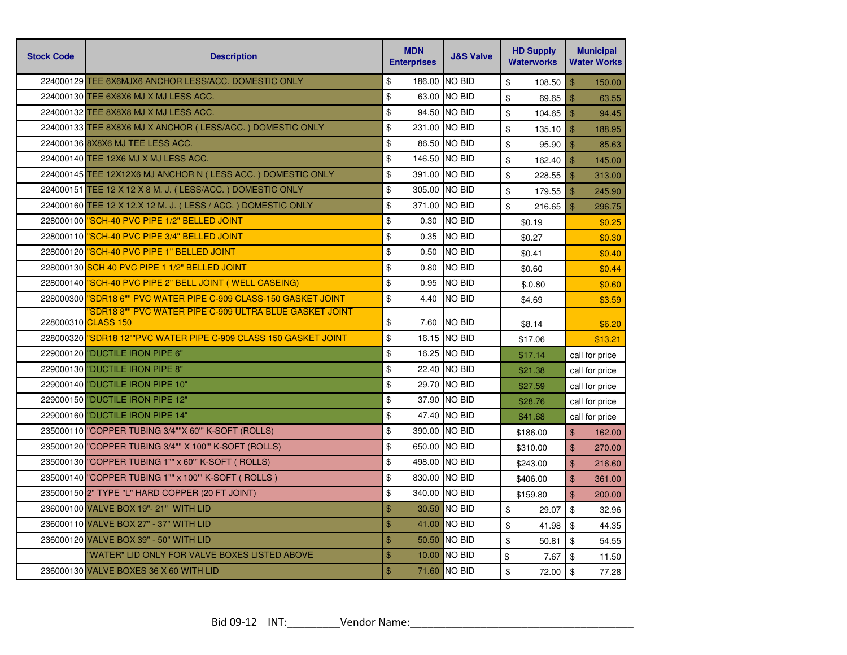| <b>Stock Code</b> | <b>Description</b>                                                             | <b>MDN</b><br><b>Enterprises</b> |        |                |              |                |                |  |  |  |  |  |  | <b>J&amp;S Valve</b> | <b>HD Supply</b><br><b>Waterworks</b> |  | <b>Municipal</b><br><b>Water Works</b> |
|-------------------|--------------------------------------------------------------------------------|----------------------------------|--------|----------------|--------------|----------------|----------------|--|--|--|--|--|--|----------------------|---------------------------------------|--|----------------------------------------|
|                   | 224000129 TEE 6X6MJX6 ANCHOR LESS/ACC. DOMESTIC ONLY                           | \$                               | 186.00 | <b>NO BID</b>  | \$<br>108.50 | $\mathsf{\$}$  | 150.00         |  |  |  |  |  |  |                      |                                       |  |                                        |
|                   | 224000130 TEE 6X6X6 MJ X MJ LESS ACC.                                          | \$                               |        | 63.00 NO BID   | \$<br>69.65  | $\mathfrak{S}$ | 63.55          |  |  |  |  |  |  |                      |                                       |  |                                        |
|                   | 224000132 TEE 8X8X8 MJ X MJ LESS ACC.                                          | \$                               |        | 94.50 NO BID   | \$<br>104.65 | $\mathfrak{L}$ | 94.45          |  |  |  |  |  |  |                      |                                       |  |                                        |
|                   | 224000133 TEE 8X8X6 MJ X ANCHOR (LESS/ACC.) DOMESTIC ONLY                      | \$                               |        | 231.00 NO BID  | \$<br>135.10 | $\mathbf{\$}$  | 188.95         |  |  |  |  |  |  |                      |                                       |  |                                        |
|                   | 224000136 8X8X6 MJ TEE LESS ACC.                                               | \$                               |        | 86.50 NO BID   | \$<br>95.90  | \$             | 85.63          |  |  |  |  |  |  |                      |                                       |  |                                        |
|                   | 224000140 TEE 12X6 MJ X MJ LESS ACC.                                           | \$                               |        | 146.50 NO BID  | \$<br>162.40 | $\mathfrak{s}$ | 145.00         |  |  |  |  |  |  |                      |                                       |  |                                        |
|                   | 224000145 TEE 12X12X6 MJ ANCHOR N (LESS ACC.) DOMESTIC ONLY                    | \$                               |        | 391.00 NO BID  | \$<br>228.55 | $\mathbf{\$}$  | 313.00         |  |  |  |  |  |  |                      |                                       |  |                                        |
|                   | 224000151 TEE 12 X 12 X 8 M. J. (LESS/ACC.) DOMESTIC ONLY                      | $\sqrt[6]{\frac{1}{2}}$          |        | 305.00 NO BID  | \$<br>179.55 | $\mathfrak{F}$ | 245.90         |  |  |  |  |  |  |                      |                                       |  |                                        |
|                   | 224000160 TEE 12 X 12.X 12 M. J. (LESS / ACC.) DOMESTIC ONLY                   | \$                               | 371.00 | <b>NO BID</b>  | \$<br>216.65 | $\mathfrak{L}$ | 296.75         |  |  |  |  |  |  |                      |                                       |  |                                        |
|                   | 228000100 SCH-40 PVC PIPE 1/2" BELLED JOINT                                    | \$                               | 0.30   | <b>NO BID</b>  | \$0.19       |                | \$0.25         |  |  |  |  |  |  |                      |                                       |  |                                        |
|                   | 228000110 <b>"SCH-40 PVC PIPE 3/4" BELLED JOINT</b>                            | \$                               | 0.35   | <b>NO BID</b>  | \$0.27       |                | \$0.30         |  |  |  |  |  |  |                      |                                       |  |                                        |
|                   | 228000120 "SCH-40 PVC PIPE 1" BELLED JOINT                                     | \$                               | 0.50   | <b>NO BID</b>  | \$0.41       |                | \$0.40         |  |  |  |  |  |  |                      |                                       |  |                                        |
|                   | 228000130 SCH 40 PVC PIPE 1 1/2" BELLED JOINT                                  | \$                               | 0.80   | <b>NO BID</b>  | \$0.60       |                | \$0.44         |  |  |  |  |  |  |                      |                                       |  |                                        |
|                   | 228000140 SCH-40 PVC PIPE 2" BELL JOINT (WELL CASEING)                         | \$                               | 0.95   | <b>NO BID</b>  | \$.0.80      |                | \$0.60         |  |  |  |  |  |  |                      |                                       |  |                                        |
|                   | 228000300 SDR18 6"" PVC WATER PIPE C-909 CLASS-150 GASKET JOINT                | \$                               | 4.40   | <b>NO BID</b>  | \$4.69       |                | \$3.59         |  |  |  |  |  |  |                      |                                       |  |                                        |
|                   | 'SDR18 8"" PVC WATER PIPE C-909 ULTRA BLUE GASKET JOINT<br>228000310 CLASS 150 | \$                               | 7.60   | <b>NO BID</b>  | \$8.14       |                | \$6.20         |  |  |  |  |  |  |                      |                                       |  |                                        |
|                   | 228000320 SDR18 12""PVC WATER PIPE C-909 CLASS 150 GASKET JOINT                | \$                               |        | 16.15 NO BID   | \$17.06      |                | \$13.21        |  |  |  |  |  |  |                      |                                       |  |                                        |
|                   | 229000120 "DUCTILE IRON PIPE 6"                                                | \$                               |        | 16.25 NO BID   | \$17.14      |                | call for price |  |  |  |  |  |  |                      |                                       |  |                                        |
|                   | 229000130 "DUCTILE IRON PIPE 8"                                                | \$                               |        | 22.40 NO BID   | \$21.38      |                | call for price |  |  |  |  |  |  |                      |                                       |  |                                        |
|                   | 229000140 "DUCTILE IRON PIPE 10"                                               | \$                               |        | 29.70 NO BID   | \$27.59      |                | call for price |  |  |  |  |  |  |                      |                                       |  |                                        |
|                   | 229000150 "DUCTILE IRON PIPE 12"                                               | \$                               |        | 37.90 NO BID   | \$28.76      |                | call for price |  |  |  |  |  |  |                      |                                       |  |                                        |
|                   | 229000160 "DUCTILE IRON PIPE 14"                                               | \$                               |        | 47.40 NO BID   | \$41.68      |                | call for price |  |  |  |  |  |  |                      |                                       |  |                                        |
|                   | 235000110 COPPER TUBING 3/4""X 60" K-SOFT (ROLLS)                              | \$                               |        | 390.00 NO BID  | \$186.00     | \$             | 162.00         |  |  |  |  |  |  |                      |                                       |  |                                        |
|                   | 235000120 "COPPER TUBING 3/4"" X 100" K-SOFT (ROLLS)                           | \$                               |        | 650.00 NO BID  | \$310.00     | $\mathbf{\$}$  | 270.00         |  |  |  |  |  |  |                      |                                       |  |                                        |
|                   | 235000130 "COPPER TUBING 1"" x 60" K-SOFT (ROLLS)                              | \$                               |        | 498.00 NO BID  | \$243.00     | \$             | 216.60         |  |  |  |  |  |  |                      |                                       |  |                                        |
|                   | 235000140 COPPER TUBING 1"" x 100" K-SOFT (ROLLS)                              | \$                               |        | 830.00 NO BID  | \$406.00     | \$             | 361.00         |  |  |  |  |  |  |                      |                                       |  |                                        |
|                   | 235000150 2" TYPE "L" HARD COPPER (20 FT JOINT)                                | \$                               |        | 340.00 INO BID | \$159.80     | \$             | 200.00         |  |  |  |  |  |  |                      |                                       |  |                                        |
|                   | 236000100 VALVE BOX 19"- 21" WITH LID                                          | $\sqrt[6]{\frac{1}{2}}$          | 30.50  | <b>NO BID</b>  | \$<br>29.07  | \$             | 32.96          |  |  |  |  |  |  |                      |                                       |  |                                        |
|                   | 236000110 VALVE BOX 27" - 37" WITH LID                                         | \$                               |        | 41.00 NO BID   | \$<br>41.98  | \$             | 44.35          |  |  |  |  |  |  |                      |                                       |  |                                        |
|                   | 236000120 VALVE BOX 39" - 50" WITH LID                                         | \$                               |        | 50.50 NO BID   | \$<br>50.81  | \$             | 54.55          |  |  |  |  |  |  |                      |                                       |  |                                        |
|                   | "WATER" LID ONLY FOR VALVE BOXES LISTED ABOVE                                  | $\mathfrak{F}$                   |        | 10.00 NO BID   | \$<br>7.67   | $\mathbf{\$}$  | 11.50          |  |  |  |  |  |  |                      |                                       |  |                                        |
|                   | 236000130 VALVE BOXES 36 X 60 WITH LID                                         | $\mathfrak{S}$                   |        | 71.60 NO BID   | \$<br>72.00  | $\sqrt[6]{2}$  | 77.28          |  |  |  |  |  |  |                      |                                       |  |                                        |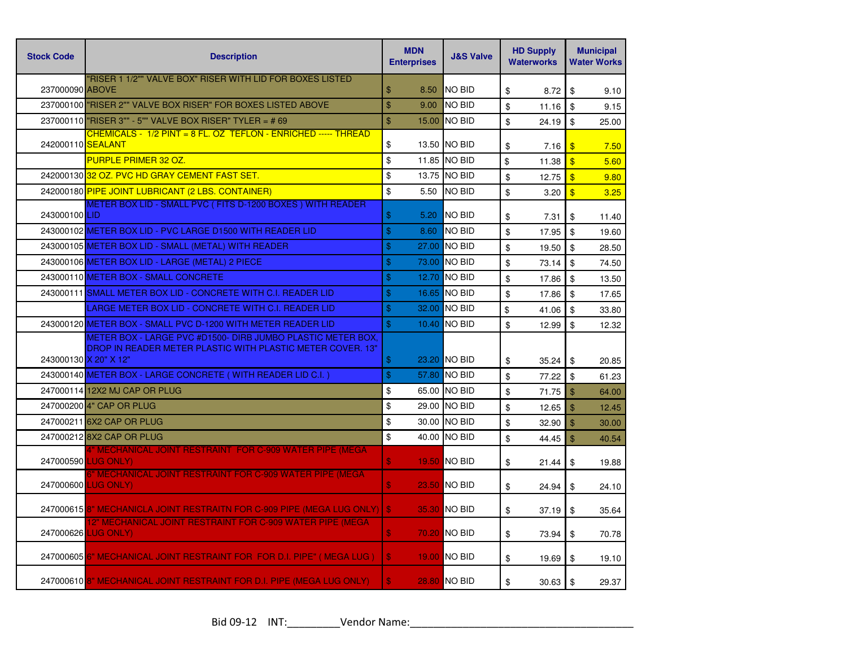| <b>Stock Code</b>     | <b>Description</b>                                                                                                        | <b>MDN</b><br><b>Enterprises</b> | <b>J&amp;S Valve</b> | <b>HD Supply</b><br><b>Waterworks</b> | <b>Municipal</b><br><b>Water Works</b> |
|-----------------------|---------------------------------------------------------------------------------------------------------------------------|----------------------------------|----------------------|---------------------------------------|----------------------------------------|
| 237000090 ABOVE       | "RISER 1 1/2"" VALVE BOX" RISER WITH LID FOR BOXES LISTED                                                                 | \$<br>8.50                       | <b>NO BID</b>        | \$<br>8.72                            | \$<br>9.10                             |
|                       | 237000100 RISER 2"" VALVE BOX RISER" FOR BOXES LISTED ABOVE                                                               | \$<br>9.00                       | <b>NO BID</b>        | \$<br>11.16                           | \$<br>9.15                             |
|                       | 237000110 <b>"RISER 3"" - 5"" VALVE BOX RISER" TYLER = # 69</b>                                                           | $\mathbf{\$}$                    | 15.00 INO BID        | \$<br>24.19                           | \$<br>25.00                            |
| 242000110 SEALANT     | CHEMICALS - 1/2 PINT = 8 FL. OZ TEFLON - ENRICHED ----- THREAD                                                            | \$                               | 13.50 NO BID         | \$<br>7.16                            | $\boldsymbol{\mathsf{s}}$<br>7.50      |
|                       | PURPLE PRIMER 32 OZ.                                                                                                      | \$                               | 11.85 NO BID         | \$<br>11.38                           | $\sqrt[6]{3}$<br>5.60                  |
|                       | 242000130 32 OZ. PVC HD GRAY CEMENT FAST SET.                                                                             | \$                               | 13.75 NO BID         | \$<br>12.75                           | $\sqrt[6]{3}$<br>9.80                  |
|                       | 242000180 PIPE JOINT LUBRICANT (2 LBS. CONTAINER)                                                                         | \$<br>5.50                       | <b>NO BID</b>        | \$<br>3.20                            | $\overline{\mathbf{3}}$<br>3.25        |
| 243000100 LID         | METER BOX LID - SMALL PVC (FITS D-1200 BOXES) WITH READER                                                                 | $\mathbf{\$}$<br>5.20            | NO BID               | \$<br>7.31                            | \$<br>11.40                            |
|                       | 243000102 METER BOX LID - PVC LARGE D1500 WITH READER LID                                                                 | $\$\$<br>8.60                    | NO BID               | \$<br>17.95                           | \$<br>19.60                            |
|                       | 243000105 METER BOX LID - SMALL (METAL) WITH READER                                                                       | $\$\$                            | 27.00 NO BID         | \$<br>19.50                           | \$<br>28.50                            |
|                       | 243000106 METER BOX LID - LARGE (METAL) 2 PIECE                                                                           | $\mathbf{\$}$                    | 73.00 NO BID         | \$<br>73.14                           | \$<br>74.50                            |
|                       | 243000110 METER BOX - SMALL CONCRETE                                                                                      | $\mathbf{\$}$                    | 12.70 NO BID         | \$<br>17.86                           | \$<br>13.50                            |
|                       | 243000111 SMALL METER BOX LID - CONCRETE WITH C.I. READER LID                                                             | $\frac{1}{2}$                    | 16.65 NO BID         | \$<br>17.86                           | $\mathfrak{S}$<br>17.65                |
|                       | LARGE METER BOX LID - CONCRETE WITH C.I. READER LID                                                                       | $\$\$                            | 32.00 NO BID         | \$<br>41.06                           | \$<br>33.80                            |
|                       | 243000120 METER BOX - SMALL PVC D-1200 WITH METER READER LID                                                              | $\$\$                            | 10.40 NO BID         | \$<br>12.99                           | \$<br>12.32                            |
| 243000130 X 20" X 12" | METER BOX - LARGE PVC #D1500- DIRB JUMBO PLASTIC METER BOX.<br>DROP IN READER METER PLASTIC WITH PLASTIC METER COVER. 13" | \$                               | 23.20 NO BID         | \$<br>35.24                           | \$<br>20.85                            |
|                       | 243000140 METER BOX - LARGE CONCRETE (WITH READER LID C.I.)                                                               | $\frac{1}{2}$                    | 57.80 NO BID         | \$<br>77.22                           | \$<br>61.23                            |
|                       | 247000114 12X2 MJ CAP OR PLUG                                                                                             | \$                               | 65.00 NO BID         | \$<br>71.75                           | $\mathfrak{L}$<br>64.00                |
|                       | 247000200 4" CAP OR PLUG                                                                                                  | \$                               | 29.00 NO BID         | \$<br>12.65                           | \$<br>12.45                            |
|                       | 247000211 6X2 CAP OR PLUG                                                                                                 | \$                               | 30.00 NO BID         | \$<br>32.90                           | $\mathfrak{S}$<br>30.00                |
|                       | 247000212 8X2 CAP OR PLUG                                                                                                 | $\mathfrak s$                    | 40.00 NO BID         | \$<br>44.45                           | $\frac{1}{2}$<br>40.54                 |
|                       | 4" MECHANICAL JOINT RESTRAINT FOR C-909 WATER PIPE (MEGA<br>247000590 LUG ONLY)                                           | $\boldsymbol{\mathsf{s}}$        | 19.50 NO BID         | \$<br>21.44                           | \$<br>19.88                            |
|                       | 6" MECHANICAL JOINT RESTRAINT FOR C-909 WATER PIPE (MEGA<br>247000600 LUG ONLY)                                           | \$                               | <b>23.50 NO BID</b>  | \$<br>24.94                           | \$<br>24.10                            |
|                       | 247000615 8" MECHANICLA JOINT RESTRAITN FOR C-909 PIPE (MEGA LUG ONLY)                                                    | $\mathbf{s}$                     | 35.30 NO BID         | \$<br>37.19                           | \$<br>35.64                            |
|                       | <u>2" MECHANICAL JOINT RESTRAINT FOR C-909 WATER PIPE (MEGA</u><br>247000626 LUG ONLY)                                    | \$                               | 70.20 NO BID         | \$<br>73.94                           | \$<br>70.78                            |
|                       | 247000605 6" MECHANICAL JOINT RESTRAINT FOR FOR D.I. PIPE" (MEGA LUG)                                                     | \$                               | 19.00 NO BID         | \$<br>19.69                           | \$<br>19.10                            |
|                       | 247000610 8" MECHANICAL JOINT RESTRAINT FOR D.I. PIPE (MEGA LUG ONLY)                                                     | $\mathbf{\$}$                    | <b>28.80 NO BID</b>  | \$<br>30.63                           | \$<br>29.37                            |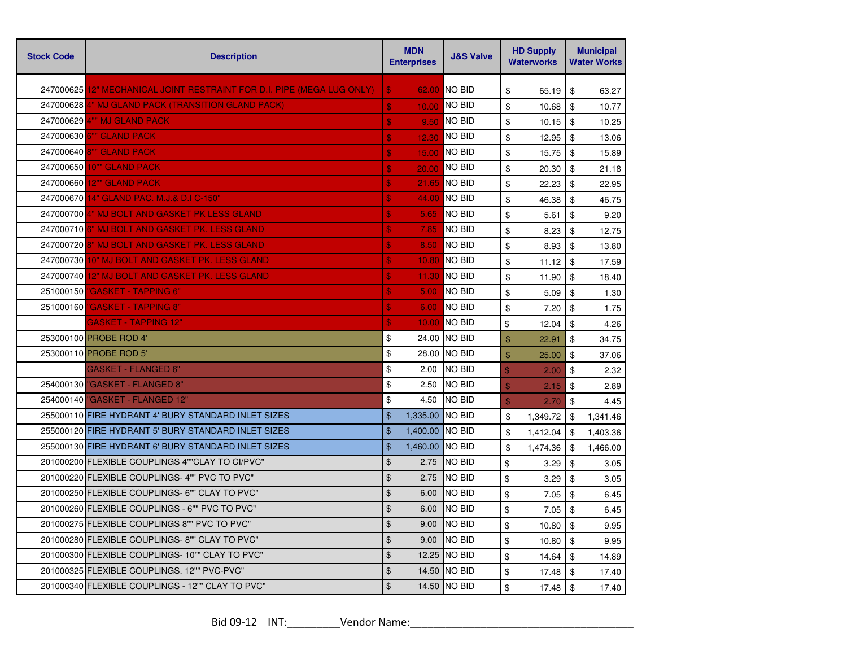| <b>Stock Code</b> | <b>Description</b>                                                     | <b>MDN</b><br><b>Enterprises</b> |                 |                |                           | <b>J&amp;S Valve</b> |                           | <b>HD Supply</b><br><b>Waterworks</b> |  | <b>Municipal</b><br><b>Water Works</b> |
|-------------------|------------------------------------------------------------------------|----------------------------------|-----------------|----------------|---------------------------|----------------------|---------------------------|---------------------------------------|--|----------------------------------------|
|                   | 247000625 12" MECHANICAL JOINT RESTRAINT FOR D.I. PIPE (MEGA LUG ONLY) | \$                               | 62.00           | NO BID         | \$                        | 65.19                | \$                        | 63.27                                 |  |                                        |
|                   | 247000628 4" MJ GLAND PACK (TRANSITION GLAND PACK)                     | $\mathbf{s}$                     | 10.00           | <b>NO BID</b>  | \$                        | 10.68                | \$                        | 10.77                                 |  |                                        |
|                   | 247000629 4"" MJ GLAND PACK                                            | \$                               | 9.50            | <b>NO BID</b>  | \$                        | 10.15                | \$                        | 10.25                                 |  |                                        |
|                   | 247000630 6" GLAND PACK                                                | \$                               | 12.30           | <b>NO BID</b>  | \$                        | 12.95                | \$                        | 13.06                                 |  |                                        |
|                   | 247000640 8"" GLAND PACK                                               | $\mathbf{s}$                     | 15.00           | <b>NO BID</b>  | \$                        | 15.75                | \$                        | 15.89                                 |  |                                        |
|                   | 247000650 10"" GLAND PACK                                              | $\mathbf{s}$                     | 20.00           | <b>NO BID</b>  | \$                        | 20.30                | \$                        | 21.18                                 |  |                                        |
| 247000660         | <b>12"" GLAND PACK</b>                                                 | \$                               | 21.65           | <b>NO BID</b>  | \$                        | 22.23                | \$                        | 22.95                                 |  |                                        |
|                   | 247000670 14" GLAND PAC. M.J.& D.I C-150"                              | \$                               | 44.00           | <b>NO BID</b>  | $\boldsymbol{\mathsf{S}}$ | 46.38                | \$                        | 46.75                                 |  |                                        |
|                   | 247000700 4" MJ BOLT AND GASKET PK LESS GLAND                          | $\boldsymbol{\mathsf{s}}$        | 5.65            | <b>NO BID</b>  | \$                        | 5.61                 | \$                        | 9.20                                  |  |                                        |
|                   | 247000710 6" MJ BOLT AND GASKET PK. LESS GLAND                         | \$                               | 7.85            | <b>NO BID</b>  | \$                        | 8.23                 | \$                        | 12.75                                 |  |                                        |
|                   | 247000720 8" MJ BOLT AND GASKET PK. LESS GLAND                         | $\mathbf{s}$                     | 8.50            | <b>NO BID</b>  | \$                        | 8.93                 | \$                        | 13.80                                 |  |                                        |
|                   | 247000730 10" MJ BOLT AND GASKET PK. LESS GLAND                        | \$                               | 10.80           | <b>NO BID</b>  | \$                        | 11.12                | \$                        | 17.59                                 |  |                                        |
| 247000740         | 12" MJ BOLT AND GASKET PK. LESS GLAND                                  | \$                               | 11.30           | <b>NO BID</b>  | \$                        | 11.90                | \$                        | 18.40                                 |  |                                        |
| 251000150         | "GASKET - TAPPING 6"                                                   | \$                               | 5.00            | <b>NO BID</b>  | \$                        | 5.09                 | \$                        | 1.30                                  |  |                                        |
| 251000160         | "GASKET - TAPPING 8"                                                   | \$                               | 6.00            | <b>NO BID</b>  | $\frac{1}{2}$             | 7.20                 | \$                        | 1.75                                  |  |                                        |
|                   | <u> GASKET - TAPPING 12"</u>                                           | \$                               | 10.00           | <b>NO BID</b>  | \$                        | 12.04                | \$                        | 4.26                                  |  |                                        |
|                   | 253000100 PROBE ROD 4'                                                 | \$                               |                 | 24.00 NO BID   | \$                        | 22.91                | \$                        | 34.75                                 |  |                                        |
|                   | 253000110 PROBE ROD 5'                                                 | \$                               |                 | 28.00 NO BID   | \$                        | 25.00                | $\sqrt[6]{\frac{1}{2}}$   | 37.06                                 |  |                                        |
|                   | <b>GASKET - FLANGED 6"</b>                                             | \$                               | 2.00            | <b>NO BID</b>  | $\mathbf{\$}$             | 2.00                 | \$                        | 2.32                                  |  |                                        |
|                   | 254000130 "GASKET - FLANGED 8"                                         | \$                               | 2.50            | <b>NO BID</b>  | $\mathbf{\$}$             | 2.15                 | $\boldsymbol{\mathsf{S}}$ | 2.89                                  |  |                                        |
|                   | 254000140 "GASKET - FLANGED 12"                                        | \$                               | 4.50            | <b>NO BID</b>  | $\mathbf{\$}$             | 2.70                 | \$                        | 4.45                                  |  |                                        |
|                   | 255000110 FIRE HYDRANT 4' BURY STANDARD INLET SIZES                    | \$                               | 1,335.00        | <b>INO BID</b> | \$                        | 1,349.72             | \$                        | 1,341.46                              |  |                                        |
|                   | 255000120 FIRE HYDRANT 5' BURY STANDARD INLET SIZES                    | \$                               | 1,400.00 NO BID |                | \$                        | 1,412.04             | \$                        | 1,403.36                              |  |                                        |
|                   | 255000130 FIRE HYDRANT 6' BURY STANDARD INLET SIZES                    | $\mathfrak{S}$                   | 1,460.00 NO BID |                | \$                        | 1,474.36             | \$                        | 1,466.00                              |  |                                        |
|                   | 201000200 FLEXIBLE COUPLINGS 4""CLAY TO CI/PVC"                        | \$                               | 2.75            | <b>NO BID</b>  | \$                        | 3.29                 | \$                        | 3.05                                  |  |                                        |
|                   | 201000220 FLEXIBLE COUPLINGS-4"" PVC TO PVC"                           | \$                               | 2.75            | <b>NO BID</b>  | \$                        | 3.29                 | \$                        | 3.05                                  |  |                                        |
|                   | 201000250 FLEXIBLE COUPLINGS- 6"" CLAY TO PVC"                         | \$                               | 6.00            | <b>NO BID</b>  | \$                        | 7.05                 | \$                        | 6.45                                  |  |                                        |
|                   | 201000260 FLEXIBLE COUPLINGS - 6"" PVC TO PVC"                         | \$                               | 6.00            | <b>NO BID</b>  | \$                        | 7.05                 | \$                        | 6.45                                  |  |                                        |
|                   | 201000275 FLEXIBLE COUPLINGS 8"" PVC TO PVC"                           | \$                               | 9.00            | <b>NO BID</b>  | \$                        | 10.80                | \$                        | 9.95                                  |  |                                        |
|                   | 201000280 FLEXIBLE COUPLINGS-8"" CLAY TO PVC"                          | \$                               | 9.00            | <b>NO BID</b>  | \$                        | 10.80                | \$                        | 9.95                                  |  |                                        |
|                   | 201000300 FLEXIBLE COUPLINGS-10"" CLAY TO PVC"                         | \$                               |                 | 12.25 NO BID   | \$                        | 14.64                | \$                        | 14.89                                 |  |                                        |
|                   | 201000325 FLEXIBLE COUPLINGS, 12"" PVC-PVC"                            | \$                               | 14.50           | <b>INO BID</b> | \$                        | 17.48                | \$                        | 17.40                                 |  |                                        |
|                   | 201000340 FLEXIBLE COUPLINGS - 12"" CLAY TO PVC"                       | \$                               |                 | 14.50 NO BID   | \$                        | 17.48                | \$                        | 17.40                                 |  |                                        |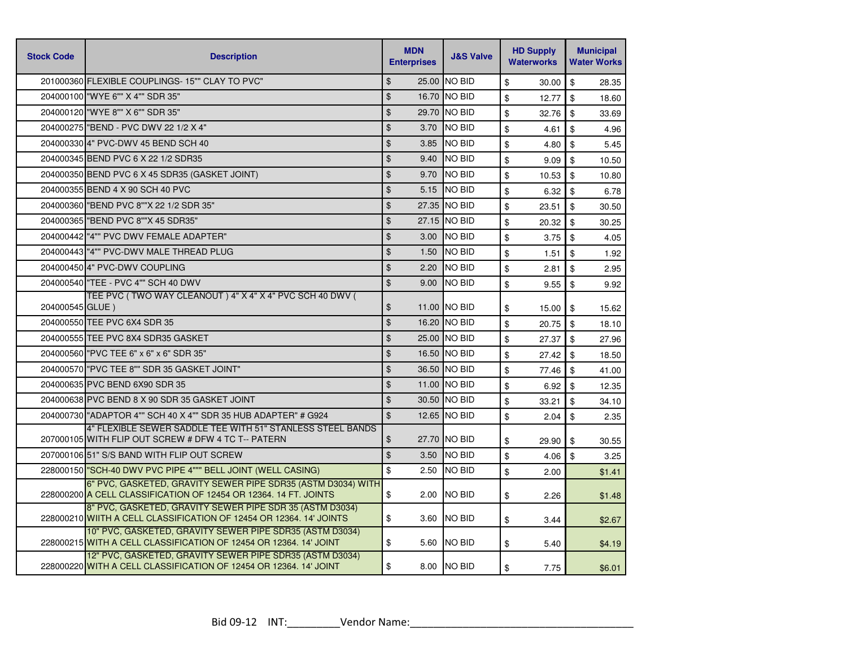| <b>Stock Code</b> | <b>Description</b>                                                                                                               | <b>MDN</b><br><b>Enterprises</b> | <b>J&amp;S Valve</b> | <b>HD Supply</b><br><b>Waterworks</b> | <b>Municipal</b><br><b>Water Works</b> |
|-------------------|----------------------------------------------------------------------------------------------------------------------------------|----------------------------------|----------------------|---------------------------------------|----------------------------------------|
|                   | 201000360 FLEXIBLE COUPLINGS-15"" CLAY TO PVC"                                                                                   | $\mathfrak{L}$                   | 25.00 NO BID         | \$<br>30.00                           | $\mathbf{\$}$<br>28.35                 |
|                   | 204000100 WYE 6"" X 4"" SDR 35"                                                                                                  | $\frac{1}{2}$                    | 16.70 NO BID         | \$<br>12.77                           | $\mathfrak{S}$<br>18.60                |
|                   | 204000120 "WYE 8"" X 6"" SDR 35"                                                                                                 | \$<br>29.70                      | <b>INO BID</b>       | \$<br>32.76                           | $\mathfrak{S}$<br>33.69                |
|                   | 204000275 "BEND - PVC DWV 22 1/2 X 4"                                                                                            | \$<br>3.70                       | <b>NO BID</b>        | \$<br>4.61                            | \$<br>4.96                             |
|                   | 204000330 4" PVC-DWV 45 BEND SCH 40                                                                                              | $\mathfrak{D}$<br>3.85           | <b>NO BID</b>        | \$<br>4.80                            | \$<br>5.45                             |
|                   | 204000345 BEND PVC 6 X 22 1/2 SDR35                                                                                              | $\frac{1}{2}$<br>9.40            | <b>NO BID</b>        | \$<br>9.09                            | $\mathfrak{F}$<br>10.50                |
|                   | 204000350 BEND PVC 6 X 45 SDR35 (GASKET JOINT)                                                                                   | \$<br>9.70                       | <b>NO BID</b>        | \$<br>10.53                           | \$<br>10.80                            |
|                   | 204000355 BEND 4 X 90 SCH 40 PVC                                                                                                 | \$<br>5.15                       | <b>NO BID</b>        | \$<br>6.32                            | \$<br>6.78                             |
|                   | 204000360 BEND PVC 8""X 22 1/2 SDR 35"                                                                                           | \$                               | 27.35 NO BID         | \$<br>23.51                           | \$<br>30.50                            |
|                   | 204000365 BEND PVC 8""X 45 SDR35"                                                                                                | \$                               | 27.15 NO BID         | \$<br>20.32                           | $\mathbf{\$}$<br>30.25                 |
|                   | 204000442 "4"" PVC DWV FEMALE ADAPTER"                                                                                           | \$<br>3.00                       | <b>NO BID</b>        | \$<br>3.75                            | \$<br>4.05                             |
|                   | 204000443 "4"" PVC-DWV MALE THREAD PLUG                                                                                          | $\mathfrak{S}$<br>1.50           | <b>NO BID</b>        | \$<br>1.51                            | \$<br>1.92                             |
|                   | 204000450 4" PVC-DWV COUPLING                                                                                                    | \$<br>2.20                       | <b>NO BID</b>        | \$<br>2.81                            | \$<br>2.95                             |
|                   | 204000540 TEE - PVC 4"" SCH 40 DWV                                                                                               | $\mathfrak{S}$<br>9.00           | <b>NO BID</b>        | \$<br>9.55                            | \$<br>9.92                             |
| 204000545 GLUE)   | TEE PVC (TWO WAY CLEANOUT) 4" X 4" X 4" PVC SCH 40 DWV (                                                                         | \$                               | 11.00 NO BID         | \$<br>15.00                           | \$<br>15.62                            |
|                   | 204000550 TEE PVC 6X4 SDR 35                                                                                                     | \$                               | 16.20 NO BID         | \$<br>20.75                           | \$<br>18.10                            |
|                   | 204000555 TEE PVC 8X4 SDR35 GASKET                                                                                               | $\mathfrak{S}$                   | 25.00 NO BID         | \$<br>27.37                           | \$<br>27.96                            |
|                   | 204000560 "PVC TEE 6" x 6" x 6" SDR 35"                                                                                          | \$                               | 16.50 NO BID         | \$<br>27.42                           | \$<br>18.50                            |
|                   | 204000570 "PVC TEE 8"" SDR 35 GASKET JOINT"                                                                                      | \$                               | 36.50 NO BID         | \$<br>77.46                           | \$<br>41.00                            |
|                   | 204000635 PVC BEND 6X90 SDR 35                                                                                                   | \$                               | 11.00 NO BID         | \$<br>6.92                            | \$<br>12.35                            |
|                   | 204000638 PVC BEND 8 X 90 SDR 35 GASKET JOINT                                                                                    | \$                               | 30.50 NO BID         | \$<br>33.21                           | \$<br>34.10                            |
|                   | 204000730 ADAPTOR 4"" SCH 40 X 4"" SDR 35 HUB ADAPTER" # G924                                                                    | \$<br>12.65                      | <b>NO BID</b>        | \$<br>2.04                            | \$<br>2.35                             |
|                   | 4" FLEXIBLE SEWER SADDLE TEE WITH 51" STANLESS STEEL BANDS<br>207000105 WITH FLIP OUT SCREW # DFW 4 TC T-- PATERN                | \$                               | 27.70 NO BID         | \$<br>29.90                           | \$<br>30.55                            |
|                   | 207000106 51" S/S BAND WITH FLIP OUT SCREW                                                                                       | \$<br>3.50                       | <b>NO BID</b>        | \$<br>4.06                            | $\mathbf{\$}$<br>3.25                  |
|                   | 228000150 SCH-40 DWV PVC PIPE 4""" BELL JOINT (WELL CASING)                                                                      | \$<br>2.50                       | <b>NO BID</b>        | \$<br>2.00                            | \$1.41                                 |
|                   | 6" PVC, GASKETED, GRAVITY SEWER PIPE SDR35 (ASTM D3034) WITH<br>228000200 A CELL CLASSIFICATION OF 12454 OR 12364. 14 FT. JOINTS | \$<br>2.00                       | NO BID               | \$<br>2.26                            | \$1.48                                 |
|                   | 8" PVC, GASKETED, GRAVITY SEWER PIPE SDR 35 (ASTM D3034)<br>228000210 WIITH A CELL CLASSIFICATION OF 12454 OR 12364. 14' JOINTS  | \$<br>3.60                       | <b>NO BID</b>        | \$<br>3.44                            | \$2.67                                 |
|                   | 10" PVC, GASKETED, GRAVITY SEWER PIPE SDR35 (ASTM D3034)<br>228000215 WITH A CELL CLASSIFICATION OF 12454 OR 12364. 14' JOINT    | \$<br>5.60                       | <b>NO BID</b>        | \$<br>5.40                            | \$4.19                                 |
|                   | 12" PVC, GASKETED, GRAVITY SEWER PIPE SDR35 (ASTM D3034)<br>228000220 WITH A CELL CLASSIFICATION OF 12454 OR 12364. 14' JOINT    | \$                               | 8.00 NO BID          | \$<br>7.75                            | \$6.01                                 |